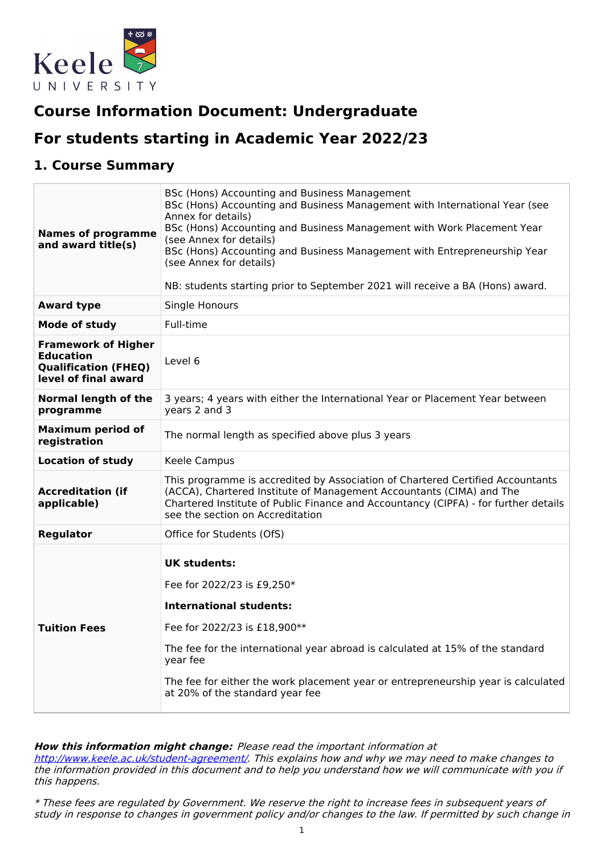

# **Course Information Document: Undergraduate**

# **For students starting in Academic Year 2022/23**

## **1. Course Summary**

| <b>Names of programme</b><br>and award title(s)                                                       | BSc (Hons) Accounting and Business Management<br>BSc (Hons) Accounting and Business Management with International Year (see<br>Annex for details)<br>BSc (Hons) Accounting and Business Management with Work Placement Year<br>(see Annex for details)<br>BSc (Hons) Accounting and Business Management with Entrepreneurship Year<br>(see Annex for details)<br>NB: students starting prior to September 2021 will receive a BA (Hons) award. |
|-------------------------------------------------------------------------------------------------------|------------------------------------------------------------------------------------------------------------------------------------------------------------------------------------------------------------------------------------------------------------------------------------------------------------------------------------------------------------------------------------------------------------------------------------------------|
| <b>Award type</b>                                                                                     | Single Honours                                                                                                                                                                                                                                                                                                                                                                                                                                 |
| Mode of study                                                                                         | Full-time                                                                                                                                                                                                                                                                                                                                                                                                                                      |
| <b>Framework of Higher</b><br><b>Education</b><br><b>Qualification (FHEQ)</b><br>level of final award | Level 6                                                                                                                                                                                                                                                                                                                                                                                                                                        |
| Normal length of the<br>programme                                                                     | 3 years; 4 years with either the International Year or Placement Year between<br>years 2 and 3                                                                                                                                                                                                                                                                                                                                                 |
| <b>Maximum period of</b><br>registration                                                              | The normal length as specified above plus 3 years                                                                                                                                                                                                                                                                                                                                                                                              |
| <b>Location of study</b>                                                                              | Keele Campus                                                                                                                                                                                                                                                                                                                                                                                                                                   |
| <b>Accreditation (if</b><br>applicable)                                                               | This programme is accredited by Association of Chartered Certified Accountants<br>(ACCA), Chartered Institute of Management Accountants (CIMA) and The<br>Chartered Institute of Public Finance and Accountancy (CIPFA) - for further details<br>see the section on Accreditation                                                                                                                                                              |
| <b>Regulator</b>                                                                                      | Office for Students (OfS)                                                                                                                                                                                                                                                                                                                                                                                                                      |
| <b>Tuition Fees</b>                                                                                   | <b>UK students:</b><br>Fee for 2022/23 is £9,250*<br><b>International students:</b><br>Fee for 2022/23 is £18,900**<br>The fee for the international year abroad is calculated at 15% of the standard<br>year fee<br>The fee for either the work placement year or entrepreneurship year is calculated<br>at 20% of the standard year fee                                                                                                      |

#### **How this information might change:** Please read the important information at

<http://www.keele.ac.uk/student-agreement/>. This explains how and why we may need to make changes to the information provided in this document and to help you understand how we will communicate with you if this happens.

\* These fees are regulated by Government. We reserve the right to increase fees in subsequent years of study in response to changes in government policy and/or changes to the law. If permitted by such change in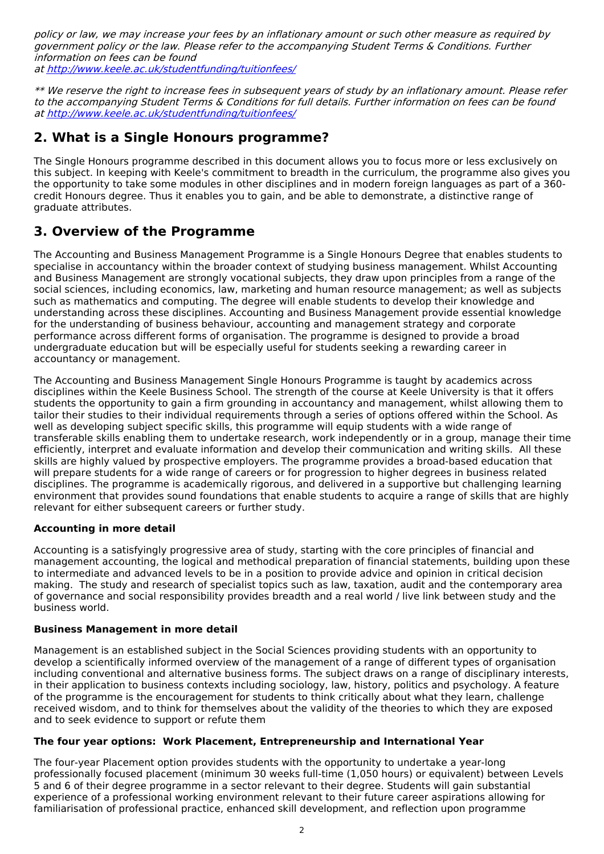policy or law, we may increase your fees by an inflationary amount or such other measure as required by government policy or the law. Please refer to the accompanying Student Terms & Conditions. Further information on fees can be found at <http://www.keele.ac.uk/studentfunding/tuitionfees/>

\*\* We reserve the right to increase fees in subsequent years of study by an inflationary amount. Please refer to the accompanying Student Terms & Conditions for full details. Further information on fees can be found at <http://www.keele.ac.uk/studentfunding/tuitionfees/>

## **2. What is a Single Honours programme?**

The Single Honours programme described in this document allows you to focus more or less exclusively on this subject. In keeping with Keele's commitment to breadth in the curriculum, the programme also gives you the opportunity to take some modules in other disciplines and in modern foreign languages as part of a 360 credit Honours degree. Thus it enables you to gain, and be able to demonstrate, a distinctive range of graduate attributes.

## **3. Overview of the Programme**

The Accounting and Business Management Programme is a Single Honours Degree that enables students to specialise in accountancy within the broader context of studying business management. Whilst Accounting and Business Management are strongly vocational subjects, they draw upon principles from a range of the social sciences, including economics, law, marketing and human resource management; as well as subjects such as mathematics and computing. The degree will enable students to develop their knowledge and understanding across these disciplines. Accounting and Business Management provide essential knowledge for the understanding of business behaviour, accounting and management strategy and corporate performance across different forms of organisation. The programme is designed to provide a broad undergraduate education but will be especially useful for students seeking a rewarding career in accountancy or management.

The Accounting and Business Management Single Honours Programme is taught by academics across disciplines within the Keele Business School. The strength of the course at Keele University is that it offers students the opportunity to gain a firm grounding in accountancy and management, whilst allowing them to tailor their studies to their individual requirements through a series of options offered within the School. As well as developing subject specific skills, this programme will equip students with a wide range of transferable skills enabling them to undertake research, work independently or in a group, manage their time efficiently, interpret and evaluate information and develop their communication and writing skills. All these skills are highly valued by prospective employers. The programme provides a broad-based education that will prepare students for a wide range of careers or for progression to higher degrees in business related disciplines. The programme is academically rigorous, and delivered in a supportive but challenging learning environment that provides sound foundations that enable students to acquire a range of skills that are highly relevant for either subsequent careers or further study.

### **Accounting in more detail**

Accounting is a satisfyingly progressive area of study, starting with the core principles of financial and management accounting, the logical and methodical preparation of financial statements, building upon these to intermediate and advanced levels to be in a position to provide advice and opinion in critical decision making. The study and research of specialist topics such as law, taxation, audit and the contemporary area of governance and social responsibility provides breadth and a real world / live link between study and the business world.

#### **Business Management in more detail**

Management is an established subject in the Social Sciences providing students with an opportunity to develop a scientifically informed overview of the management of a range of different types of organisation including conventional and alternative business forms. The subject draws on a range of disciplinary interests, in their application to business contexts including sociology, law, history, politics and psychology. A feature of the programme is the encouragement for students to think critically about what they learn, challenge received wisdom, and to think for themselves about the validity of the theories to which they are exposed and to seek evidence to support or refute them

### **The four year options: Work Placement, Entrepreneurship and International Year**

The four-year Placement option provides students with the opportunity to undertake a year-long professionally focused placement (minimum 30 weeks full-time (1,050 hours) or equivalent) between Levels 5 and 6 of their degree programme in a sector relevant to their degree. Students will gain substantial experience of a professional working environment relevant to their future career aspirations allowing for familiarisation of professional practice, enhanced skill development, and reflection upon programme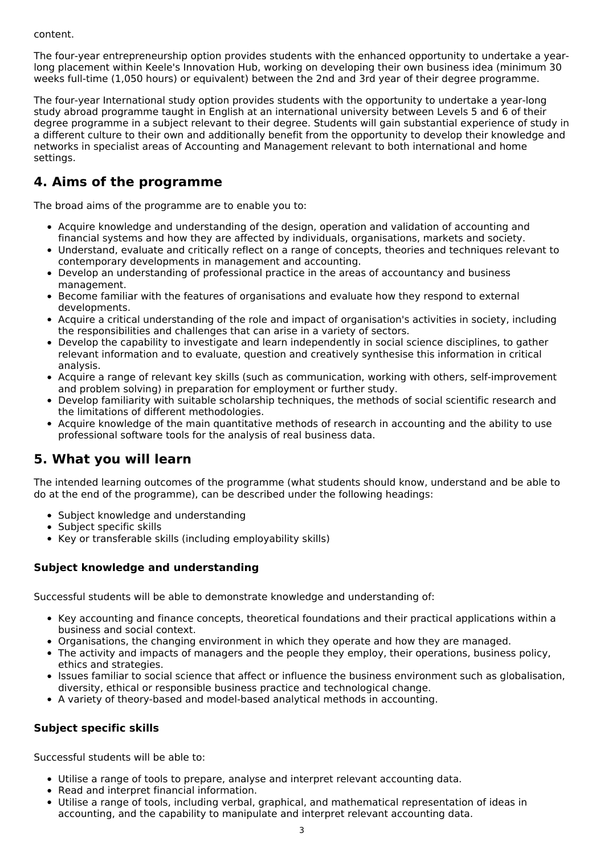content.

The four-year entrepreneurship option provides students with the enhanced opportunity to undertake a yearlong placement within Keele's Innovation Hub, working on developing their own business idea (minimum 30 weeks full-time (1,050 hours) or equivalent) between the 2nd and 3rd year of their degree programme.

The four-year International study option provides students with the opportunity to undertake a year-long study abroad programme taught in English at an international university between Levels 5 and 6 of their degree programme in a subject relevant to their degree. Students will gain substantial experience of study in a different culture to their own and additionally benefit from the opportunity to develop their knowledge and networks in specialist areas of Accounting and Management relevant to both international and home settings.

## **4. Aims of the programme**

The broad aims of the programme are to enable you to:

- Acquire knowledge and understanding of the design, operation and validation of accounting and financial systems and how they are affected by individuals, organisations, markets and society.
- Understand, evaluate and critically reflect on a range of concepts, theories and techniques relevant to contemporary developments in management and accounting.
- Develop an understanding of professional practice in the areas of accountancy and business management.
- **Become familiar with the features of organisations and evaluate how they respond to external** developments.
- Acquire a critical understanding of the role and impact of organisation's activities in society, including the responsibilities and challenges that can arise in a variety of sectors.
- Develop the capability to investigate and learn independently in social science disciplines, to gather relevant information and to evaluate, question and creatively synthesise this information in critical analysis.
- Acquire a range of relevant key skills (such as communication, working with others, self-improvement and problem solving) in preparation for employment or further study.
- Develop familiarity with suitable scholarship techniques, the methods of social scientific research and the limitations of different methodologies.
- Acquire knowledge of the main quantitative methods of research in accounting and the ability to use professional software tools for the analysis of real business data.

## **5. What you will learn**

The intended learning outcomes of the programme (what students should know, understand and be able to do at the end of the programme), can be described under the following headings:

- Subject knowledge and understanding
- Subject specific skills
- Key or transferable skills (including employability skills)

### **Subject knowledge and understanding**

Successful students will be able to demonstrate knowledge and understanding of:

- Key accounting and finance concepts, theoretical foundations and their practical applications within a business and social context.
- Organisations, the changing environment in which they operate and how they are managed.
- The activity and impacts of managers and the people they employ, their operations, business policy, ethics and strategies.
- Issues familiar to social science that affect or influence the business environment such as globalisation, diversity, ethical or responsible business practice and technological change.
- A variety of theory-based and model-based analytical methods in accounting.

### **Subject specific skills**

Successful students will be able to:

- Utilise a range of tools to prepare, analyse and interpret relevant accounting data.
- Read and interpret financial information.
- Utilise a range of tools, including verbal, graphical, and mathematical representation of ideas in accounting, and the capability to manipulate and interpret relevant accounting data.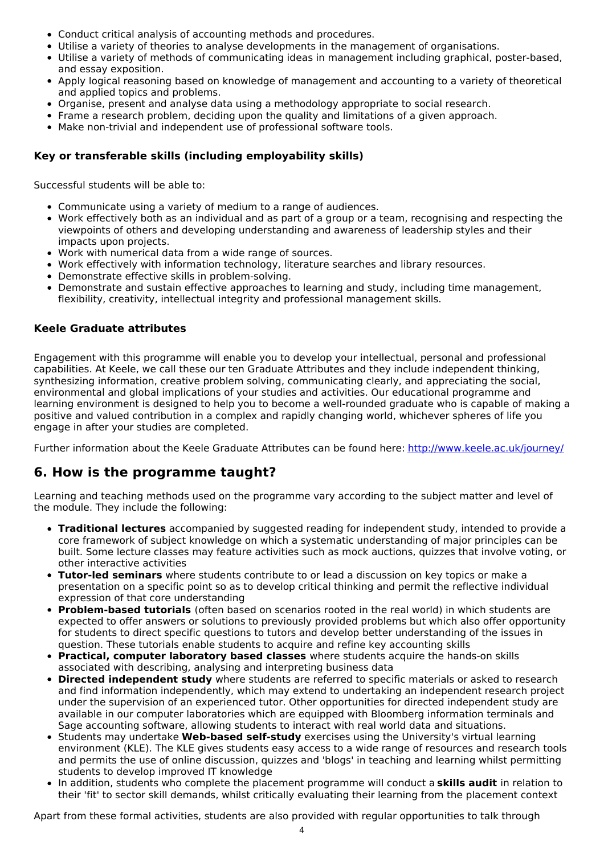- Conduct critical analysis of accounting methods and procedures.
- Utilise a variety of theories to analyse developments in the management of organisations.
- Utilise a variety of methods of communicating ideas in management including graphical, poster-based, and essay exposition.
- Apply logical reasoning based on knowledge of management and accounting to a variety of theoretical and applied topics and problems.
- Organise, present and analyse data using a methodology appropriate to social research.
- Frame a research problem, deciding upon the quality and limitations of a given approach.
- Make non-trivial and independent use of professional software tools.

### **Key or transferable skills (including employability skills)**

Successful students will be able to:

- Communicate using a variety of medium to a range of audiences.
- Work effectively both as an individual and as part of a group or a team, recognising and respecting the viewpoints of others and developing understanding and awareness of leadership styles and their impacts upon projects.
- Work with numerical data from a wide range of sources.
- Work effectively with information technology, literature searches and library resources.
- Demonstrate effective skills in problem-solving.
- Demonstrate and sustain effective approaches to learning and study, including time management, flexibility, creativity, intellectual integrity and professional management skills.

### **Keele Graduate attributes**

Engagement with this programme will enable you to develop your intellectual, personal and professional capabilities. At Keele, we call these our ten Graduate Attributes and they include independent thinking, synthesizing information, creative problem solving, communicating clearly, and appreciating the social, environmental and global implications of your studies and activities. Our educational programme and learning environment is designed to help you to become a well-rounded graduate who is capable of making a positive and valued contribution in a complex and rapidly changing world, whichever spheres of life you engage in after your studies are completed.

Further information about the Keele Graduate Attributes can be found here: <http://www.keele.ac.uk/journey/>

## **6. How is the programme taught?**

Learning and teaching methods used on the programme vary according to the subject matter and level of the module. They include the following:

- **Traditional lectures** accompanied by suggested reading for independent study, intended to provide a core framework of subject knowledge on which a systematic understanding of major principles can be built. Some lecture classes may feature activities such as mock auctions, quizzes that involve voting, or other interactive activities
- **Tutor-led seminars** where students contribute to or lead a discussion on key topics or make a presentation on a specific point so as to develop critical thinking and permit the reflective individual expression of that core understanding
- **Problem-based tutorials** (often based on scenarios rooted in the real world) in which students are expected to offer answers or solutions to previously provided problems but which also offer opportunity for students to direct specific questions to tutors and develop better understanding of the issues in question. These tutorials enable students to acquire and refine key accounting skills
- **Practical, computer laboratory based classes** where students acquire the hands-on skills associated with describing, analysing and interpreting business data
- **Directed independent study** where students are referred to specific materials or asked to research and find information independently, which may extend to undertaking an independent research project under the supervision of an experienced tutor. Other opportunities for directed independent study are available in our computer laboratories which are equipped with Bloomberg information terminals and Sage accounting software, allowing students to interact with real world data and situations.
- **Students may undertake Web-based self-study** exercises using the University's virtual learning environment (KLE). The KLE gives students easy access to a wide range of resources and research tools and permits the use of online discussion, quizzes and 'blogs' in teaching and learning whilst permitting students to develop improved IT knowledge
- In addition, students who complete the placement programme will conduct a **skills audit** in relation to their 'fit' to sector skill demands, whilst critically evaluating their learning from the placement context

Apart from these formal activities, students are also provided with regular opportunities to talk through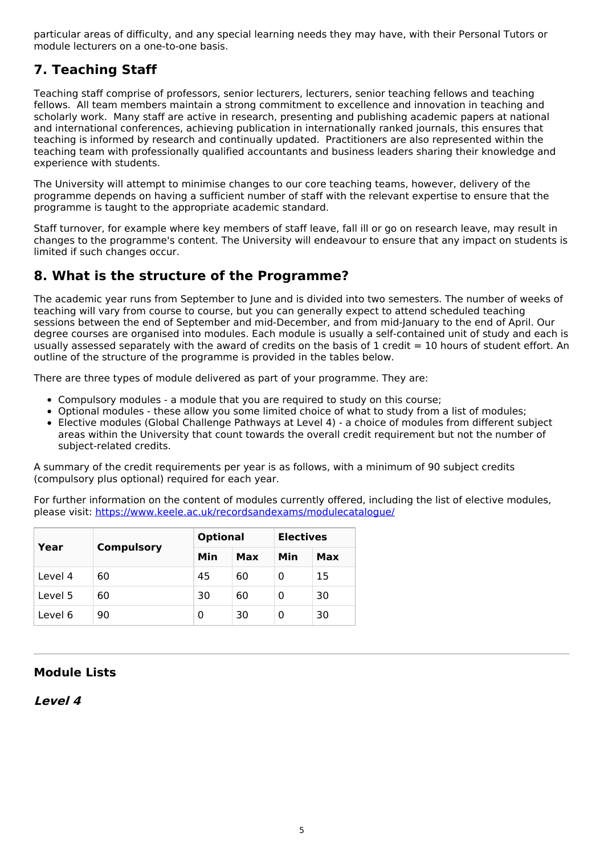particular areas of difficulty, and any special learning needs they may have, with their Personal Tutors or module lecturers on a one-to-one basis.

## **7. Teaching Staff**

Teaching staff comprise of professors, senior lecturers, lecturers, senior teaching fellows and teaching fellows. All team members maintain a strong commitment to excellence and innovation in teaching and scholarly work. Many staff are active in research, presenting and publishing academic papers at national and international conferences, achieving publication in internationally ranked journals, this ensures that teaching is informed by research and continually updated. Practitioners are also represented within the teaching team with professionally qualified accountants and business leaders sharing their knowledge and experience with students.

The University will attempt to minimise changes to our core teaching teams, however, delivery of the programme depends on having a sufficient number of staff with the relevant expertise to ensure that the programme is taught to the appropriate academic standard.

Staff turnover, for example where key members of staff leave, fall ill or go on research leave, may result in changes to the programme's content. The University will endeavour to ensure that any impact on students is limited if such changes occur.

## **8. What is the structure of the Programme?**

The academic year runs from September to June and is divided into two semesters. The number of weeks of teaching will vary from course to course, but you can generally expect to attend scheduled teaching sessions between the end of September and mid-December, and from mid-January to the end of April. Our degree courses are organised into modules. Each module is usually a self-contained unit of study and each is usually assessed separately with the award of credits on the basis of 1 credit = 10 hours of student effort. An outline of the structure of the programme is provided in the tables below.

There are three types of module delivered as part of your programme. They are:

- Compulsory modules a module that you are required to study on this course;
- Optional modules these allow you some limited choice of what to study from a list of modules;
- Elective modules (Global Challenge Pathways at Level 4) a choice of modules from different subject areas within the University that count towards the overall credit requirement but not the number of subject-related credits.

A summary of the credit requirements per year is as follows, with a minimum of 90 subject credits (compulsory plus optional) required for each year.

For further information on the content of modules currently offered, including the list of elective modules, please visit: <https://www.keele.ac.uk/recordsandexams/modulecatalogue/>

| Year    | <b>Compulsory</b> | <b>Optional</b> |     | <b>Electives</b> |     |
|---------|-------------------|-----------------|-----|------------------|-----|
|         |                   | Min             | Max | Min              | Max |
| Level 4 | 60                | 45              | 60  | 0                | 15  |
| Level 5 | 60                | 30              | 60  | 0                | 30  |
| Level 6 | 90                | 0               | 30  | 0                | 30  |

### **Module Lists**

**Level 4**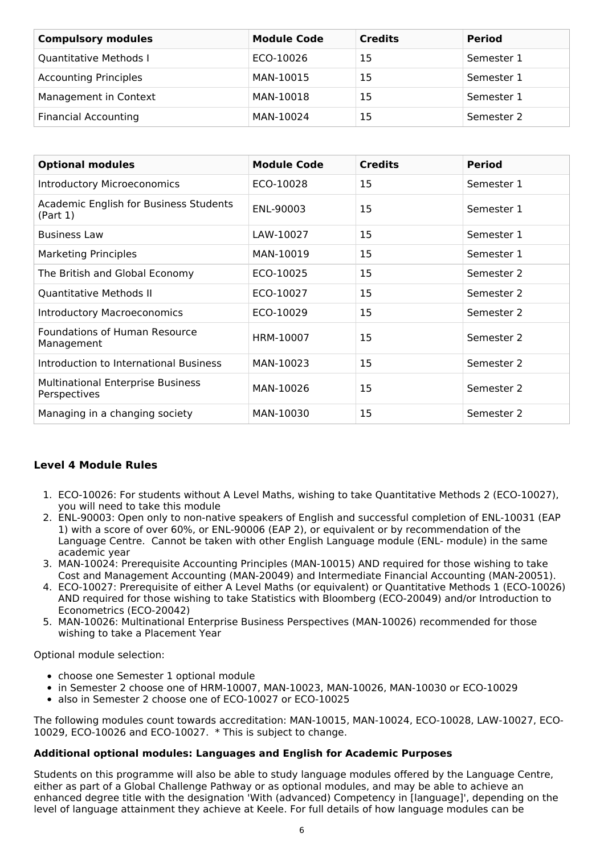| <b>Compulsory modules</b>    | <b>Module Code</b> | <b>Credits</b> | <b>Period</b> |
|------------------------------|--------------------|----------------|---------------|
| Quantitative Methods I       | ECO-10026          | 15             | Semester 1    |
| <b>Accounting Principles</b> | MAN-10015          | 15             | Semester 1    |
| Management in Context        | MAN-10018          | 15             | Semester 1    |
| <b>Financial Accounting</b>  | MAN-10024          | 15             | Semester 2    |

| <b>Optional modules</b>                                  | <b>Module Code</b> | <b>Credits</b> | <b>Period</b> |
|----------------------------------------------------------|--------------------|----------------|---------------|
| <b>Introductory Microeconomics</b>                       | ECO-10028          | 15             | Semester 1    |
| Academic English for Business Students<br>(Part 1)       | ENL-90003          | 15             | Semester 1    |
| <b>Business Law</b>                                      | LAW-10027          | 15             | Semester 1    |
| <b>Marketing Principles</b>                              | MAN-10019          | 15             | Semester 1    |
| The British and Global Economy                           | ECO-10025          | 15             | Semester 2    |
| Quantitative Methods II                                  | ECO-10027          | 15             | Semester 2    |
| <b>Introductory Macroeconomics</b>                       | ECO-10029          | 15             | Semester 2    |
| <b>Foundations of Human Resource</b><br>Management       | HRM-10007          | 15             | Semester 2    |
| Introduction to International Business                   | MAN-10023          | 15             | Semester 2    |
| <b>Multinational Enterprise Business</b><br>Perspectives | MAN-10026          | 15             | Semester 2    |
| Managing in a changing society                           | MAN-10030          | 15             | Semester 2    |

### **Level 4 Module Rules**

- 1. ECO-10026: For students without A Level Maths, wishing to take Quantitative Methods 2 (ECO-10027), you will need to take this module
- 2. ENL-90003: Open only to non-native speakers of English and successful completion of ENL-10031 (EAP 1) with a score of over 60%, or ENL-90006 (EAP 2), or equivalent or by recommendation of the Language Centre. Cannot be taken with other English Language module (ENL- module) in the same academic year
- 3. MAN-10024: Prerequisite Accounting Principles (MAN-10015) AND required for those wishing to take Cost and Management Accounting (MAN-20049) and Intermediate Financial Accounting (MAN-20051).
- 4. ECO-10027: Prerequisite of either A Level Maths (or equivalent) or Quantitative Methods 1 (ECO-10026) AND required for those wishing to take Statistics with Bloomberg (ECO-20049) and/or Introduction to Econometrics (ECO-20042)
- 5. MAN-10026: Multinational Enterprise Business Perspectives (MAN-10026) recommended for those wishing to take a Placement Year

Optional module selection:

- choose one Semester 1 optional module
- in Semester 2 choose one of HRM-10007, MAN-10023, MAN-10026, MAN-10030 or ECO-10029
- also in Semester 2 choose one of ECO-10027 or ECO-10025

The following modules count towards accreditation: MAN-10015, MAN-10024, ECO-10028, LAW-10027, ECO-10029, ECO-10026 and ECO-10027. \* This is subject to change.

### **Additional optional modules: Languages and English for Academic Purposes**

Students on this programme will also be able to study language modules offered by the Language Centre, either as part of a Global Challenge Pathway or as optional modules, and may be able to achieve an enhanced degree title with the designation 'With (advanced) Competency in [language]', depending on the level of language attainment they achieve at Keele. For full details of how language modules can be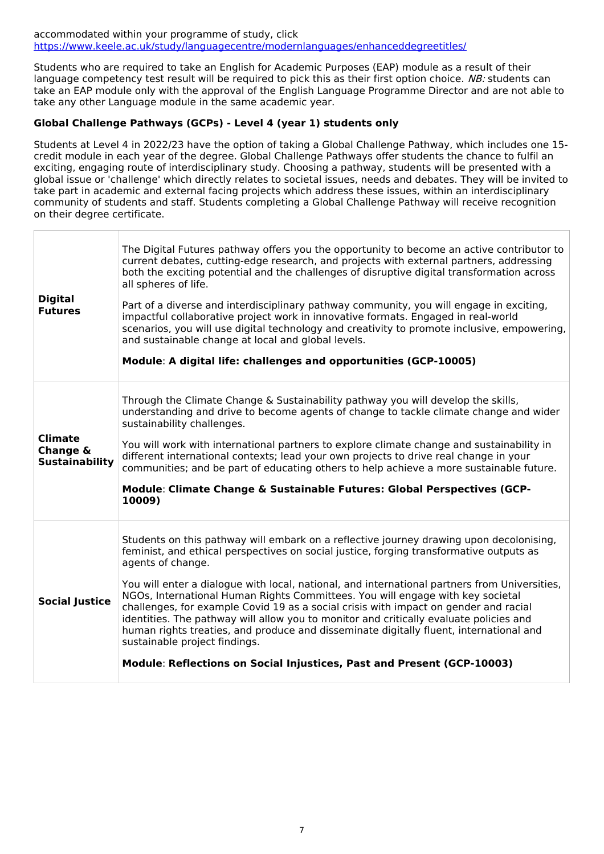#### accommodated within your programme of study, click <https://www.keele.ac.uk/study/languagecentre/modernlanguages/enhanceddegreetitles/>

Students who are required to take an English for Academic Purposes (EAP) module as a result of their language competency test result will be required to pick this as their first option choice. NB: students can take an EAP module only with the approval of the English Language Programme Director and are not able to take any other Language module in the same academic year.

### **Global Challenge Pathways (GCPs) - Level 4 (year 1) students only**

Students at Level 4 in 2022/23 have the option of taking a Global Challenge Pathway, which includes one 15 credit module in each year of the degree. Global Challenge Pathways offer students the chance to fulfil an exciting, engaging route of interdisciplinary study. Choosing a pathway, students will be presented with a global issue or 'challenge' which directly relates to societal issues, needs and debates. They will be invited to take part in academic and external facing projects which address these issues, within an interdisciplinary community of students and staff. Students completing a Global Challenge Pathway will receive recognition on their degree certificate.

| <b>Digital</b><br><b>Futures</b>                    | The Digital Futures pathway offers you the opportunity to become an active contributor to<br>current debates, cutting-edge research, and projects with external partners, addressing<br>both the exciting potential and the challenges of disruptive digital transformation across<br>all spheres of life.<br>Part of a diverse and interdisciplinary pathway community, you will engage in exciting,<br>impactful collaborative project work in innovative formats. Engaged in real-world<br>scenarios, you will use digital technology and creativity to promote inclusive, empowering,<br>and sustainable change at local and global levels.<br>Module: A digital life: challenges and opportunities (GCP-10005)                                                               |
|-----------------------------------------------------|-----------------------------------------------------------------------------------------------------------------------------------------------------------------------------------------------------------------------------------------------------------------------------------------------------------------------------------------------------------------------------------------------------------------------------------------------------------------------------------------------------------------------------------------------------------------------------------------------------------------------------------------------------------------------------------------------------------------------------------------------------------------------------------|
| <b>Climate</b><br>Change &<br><b>Sustainability</b> | Through the Climate Change & Sustainability pathway you will develop the skills,<br>understanding and drive to become agents of change to tackle climate change and wider<br>sustainability challenges.<br>You will work with international partners to explore climate change and sustainability in<br>different international contexts; lead your own projects to drive real change in your<br>communities; and be part of educating others to help achieve a more sustainable future.<br>Module: Climate Change & Sustainable Futures: Global Perspectives (GCP-<br>10009)                                                                                                                                                                                                     |
| <b>Social Justice</b>                               | Students on this pathway will embark on a reflective journey drawing upon decolonising,<br>feminist, and ethical perspectives on social justice, forging transformative outputs as<br>agents of change.<br>You will enter a dialogue with local, national, and international partners from Universities,<br>NGOs, International Human Rights Committees. You will engage with key societal<br>challenges, for example Covid 19 as a social crisis with impact on gender and racial<br>identities. The pathway will allow you to monitor and critically evaluate policies and<br>human rights treaties, and produce and disseminate digitally fluent, international and<br>sustainable project findings.<br>Module: Reflections on Social Injustices, Past and Present (GCP-10003) |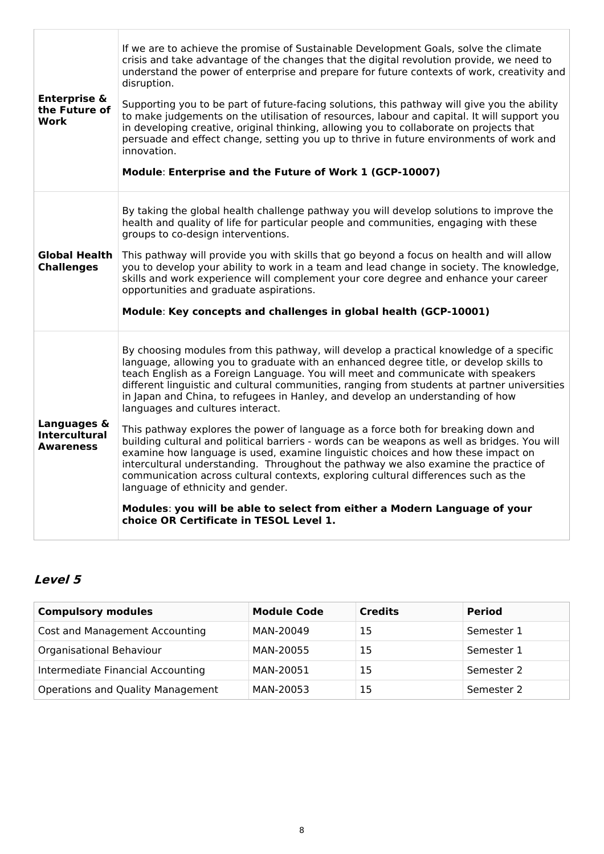| <b>Enterprise &amp;</b><br>the Future of<br>Work        | If we are to achieve the promise of Sustainable Development Goals, solve the climate<br>crisis and take advantage of the changes that the digital revolution provide, we need to<br>understand the power of enterprise and prepare for future contexts of work, creativity and<br>disruption.<br>Supporting you to be part of future-facing solutions, this pathway will give you the ability<br>to make judgements on the utilisation of resources, labour and capital. It will support you<br>in developing creative, original thinking, allowing you to collaborate on projects that<br>persuade and effect change, setting you up to thrive in future environments of work and<br>innovation.<br>Module: Enterprise and the Future of Work 1 (GCP-10007)                                                                                                                                                                                                                                                                                                                                                   |
|---------------------------------------------------------|----------------------------------------------------------------------------------------------------------------------------------------------------------------------------------------------------------------------------------------------------------------------------------------------------------------------------------------------------------------------------------------------------------------------------------------------------------------------------------------------------------------------------------------------------------------------------------------------------------------------------------------------------------------------------------------------------------------------------------------------------------------------------------------------------------------------------------------------------------------------------------------------------------------------------------------------------------------------------------------------------------------------------------------------------------------------------------------------------------------|
| <b>Global Health</b><br><b>Challenges</b>               | By taking the global health challenge pathway you will develop solutions to improve the<br>health and quality of life for particular people and communities, engaging with these<br>groups to co-design interventions.<br>This pathway will provide you with skills that go beyond a focus on health and will allow<br>you to develop your ability to work in a team and lead change in society. The knowledge,<br>skills and work experience will complement your core degree and enhance your career<br>opportunities and graduate aspirations.<br>Module: Key concepts and challenges in global health (GCP-10001)                                                                                                                                                                                                                                                                                                                                                                                                                                                                                          |
| Languages &<br><b>Intercultural</b><br><b>Awareness</b> | By choosing modules from this pathway, will develop a practical knowledge of a specific<br>language, allowing you to graduate with an enhanced degree title, or develop skills to<br>teach English as a Foreign Language. You will meet and communicate with speakers<br>different linguistic and cultural communities, ranging from students at partner universities<br>in Japan and China, to refugees in Hanley, and develop an understanding of how<br>languages and cultures interact.<br>This pathway explores the power of language as a force both for breaking down and<br>building cultural and political barriers - words can be weapons as well as bridges. You will<br>examine how language is used, examine linguistic choices and how these impact on<br>intercultural understanding. Throughout the pathway we also examine the practice of<br>communication across cultural contexts, exploring cultural differences such as the<br>language of ethnicity and gender.<br>Modules: you will be able to select from either a Modern Language of your<br>choice OR Certificate in TESOL Level 1. |

## **Level 5**

| <b>Compulsory modules</b>         | <b>Module Code</b> | <b>Credits</b> | <b>Period</b> |
|-----------------------------------|--------------------|----------------|---------------|
| Cost and Management Accounting    | MAN-20049          | 15             | Semester 1    |
| Organisational Behaviour          | MAN-20055          | 15             | Semester 1    |
| Intermediate Financial Accounting | MAN-20051          | 15             | Semester 2    |
| Operations and Quality Management | MAN-20053          | 15             | Semester 2    |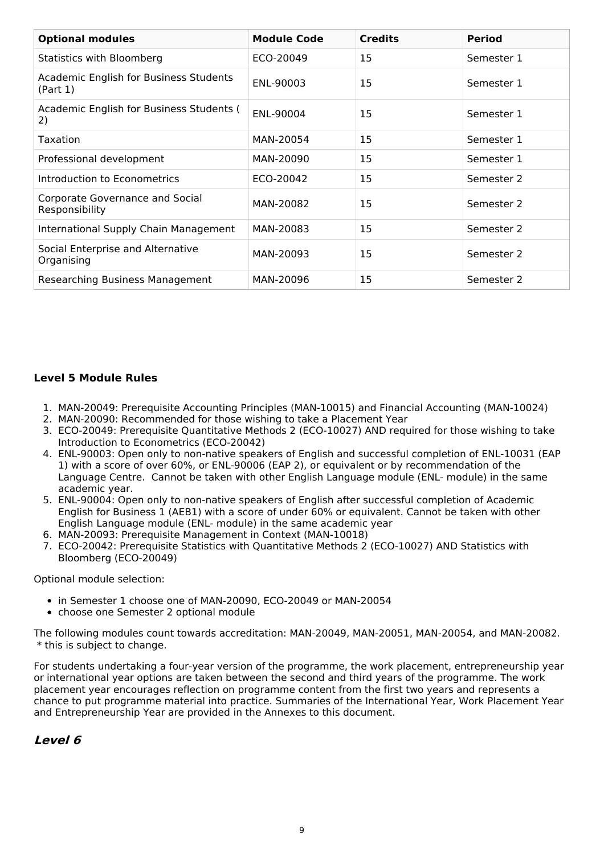| <b>Optional modules</b>                                   | <b>Module Code</b> | <b>Credits</b> | <b>Period</b> |
|-----------------------------------------------------------|--------------------|----------------|---------------|
| Statistics with Bloomberg                                 | ECO-20049          | 15             | Semester 1    |
| <b>Academic English for Business Students</b><br>(Part 1) | ENL-90003          | 15             | Semester 1    |
| Academic English for Business Students (<br>2)            | ENL-90004          | 15             | Semester 1    |
| Taxation                                                  | MAN-20054          | 15             | Semester 1    |
| Professional development                                  | MAN-20090          | 15             | Semester 1    |
| Introduction to Econometrics                              | ECO-20042          | 15             | Semester 2    |
| Corporate Governance and Social<br>Responsibility         | MAN-20082          | 15             | Semester 2    |
| International Supply Chain Management                     | MAN-20083          | 15             | Semester 2    |
| Social Enterprise and Alternative<br>Organising           | MAN-20093          | 15             | Semester 2    |
| <b>Researching Business Management</b>                    | MAN-20096          | 15             | Semester 2    |

#### **Level 5 Module Rules**

- 1. MAN-20049: Prerequisite Accounting Principles (MAN-10015) and Financial Accounting (MAN-10024)
- 2. MAN-20090: Recommended for those wishing to take a Placement Year
- 3. ECO-20049: Prerequisite Quantitative Methods 2 (ECO-10027) AND required for those wishing to take Introduction to Econometrics (ECO-20042)
- 4. ENL-90003: Open only to non-native speakers of English and successful completion of ENL-10031 (EAP 1) with a score of over 60%, or ENL-90006 (EAP 2), or equivalent or by recommendation of the Language Centre. Cannot be taken with other English Language module (ENL- module) in the same academic year.
- 5. ENL-90004: Open only to non-native speakers of English after successful completion of Academic English for Business 1 (AEB1) with a score of under 60% or equivalent. Cannot be taken with other English Language module (ENL- module) in the same academic year
- 6. MAN-20093: Prerequisite Management in Context (MAN-10018)
- 7. ECO-20042: Prerequisite Statistics with Quantitative Methods 2 (ECO-10027) AND Statistics with Bloomberg (ECO-20049)

Optional module selection:

- in Semester 1 choose one of MAN-20090, ECO-20049 or MAN-20054
- choose one Semester 2 optional module

The following modules count towards accreditation: MAN-20049, MAN-20051, MAN-20054, and MAN-20082. \* this is subject to change.

For students undertaking a four-year version of the programme, the work placement, entrepreneurship year or international year options are taken between the second and third years of the programme. The work placement year encourages reflection on programme content from the first two years and represents a chance to put programme material into practice. Summaries of the International Year, Work Placement Year and Entrepreneurship Year are provided in the Annexes to this document.

### **Level 6**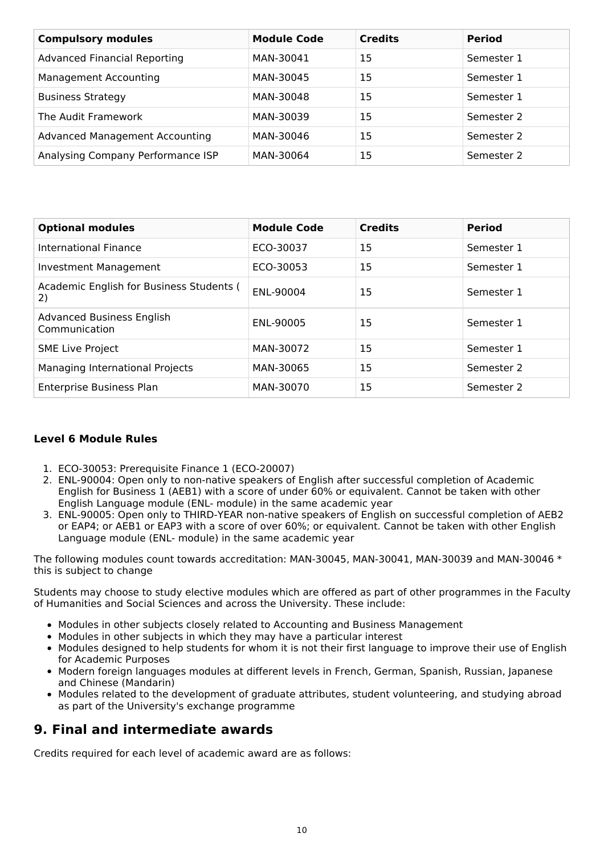| <b>Compulsory modules</b>             | <b>Module Code</b> | <b>Credits</b> | <b>Period</b> |
|---------------------------------------|--------------------|----------------|---------------|
| <b>Advanced Financial Reporting</b>   | MAN-30041          | 15             | Semester 1    |
| <b>Management Accounting</b>          | MAN-30045          | 15             | Semester 1    |
| <b>Business Strategy</b>              | MAN-30048          | 15             | Semester 1    |
| The Audit Framework                   | MAN-30039          | 15             | Semester 2    |
| <b>Advanced Management Accounting</b> | MAN-30046          | 15             | Semester 2    |
| Analysing Company Performance ISP     | MAN-30064          | 15             | Semester 2    |

| <b>Optional modules</b>                           | <b>Module Code</b> | <b>Credits</b> | <b>Period</b> |
|---------------------------------------------------|--------------------|----------------|---------------|
| International Finance                             | ECO-30037          | 15             | Semester 1    |
| Investment Management                             | ECO-30053          | 15             | Semester 1    |
| Academic English for Business Students (<br>2)    | ENL-90004          | 15             | Semester 1    |
| <b>Advanced Business English</b><br>Communication | ENL-90005          | 15             | Semester 1    |
| <b>SME Live Project</b>                           | MAN-30072          | 15             | Semester 1    |
| Managing International Projects                   | MAN-30065          | 15             | Semester 2    |
| <b>Enterprise Business Plan</b>                   | MAN-30070          | 15             | Semester 2    |

### **Level 6 Module Rules**

- 1. ECO-30053: Prerequisite Finance 1 (ECO-20007)
- 2. ENL-90004: Open only to non-native speakers of English after successful completion of Academic English for Business 1 (AEB1) with a score of under 60% or equivalent. Cannot be taken with other English Language module (ENL- module) in the same academic year
- 3. ENL-90005: Open only to THIRD-YEAR non-native speakers of English on successful completion of AEB2 or EAP4; or AEB1 or EAP3 with a score of over 60%; or equivalent. Cannot be taken with other English Language module (ENL- module) in the same academic year

The following modules count towards accreditation: MAN-30045, MAN-30041, MAN-30039 and MAN-30046 \* this is subject to change

Students may choose to study elective modules which are offered as part of other programmes in the Faculty of Humanities and Social Sciences and across the University. These include:

- Modules in other subjects closely related to Accounting and Business Management
- Modules in other subjects in which they may have a particular interest
- Modules designed to help students for whom it is not their first language to improve their use of English for Academic Purposes
- Modern foreign languages modules at different levels in French, German, Spanish, Russian, Japanese and Chinese (Mandarin)
- Modules related to the development of graduate attributes, student volunteering, and studying abroad as part of the University's exchange programme

## **9. Final and intermediate awards**

Credits required for each level of academic award are as follows: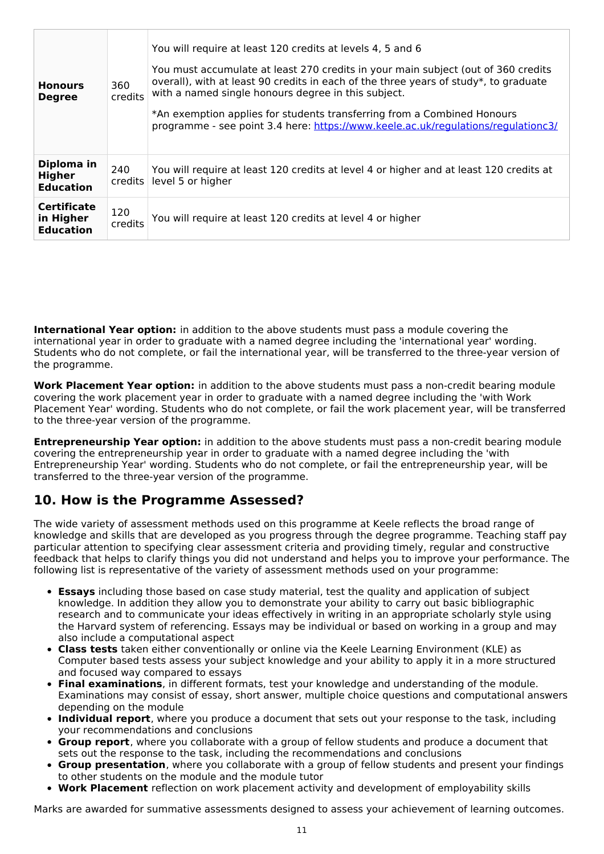| <b>Honours</b><br><b>Degree</b>                     | 360<br>credits | You will require at least 120 credits at levels 4, 5 and 6<br>You must accumulate at least 270 credits in your main subject (out of 360 credits<br>overall), with at least 90 credits in each of the three years of study*, to graduate<br>with a named single honours degree in this subject.<br>*An exemption applies for students transferring from a Combined Honours<br>programme - see point 3.4 here: https://www.keele.ac.uk/regulations/regulationc3/ |
|-----------------------------------------------------|----------------|----------------------------------------------------------------------------------------------------------------------------------------------------------------------------------------------------------------------------------------------------------------------------------------------------------------------------------------------------------------------------------------------------------------------------------------------------------------|
| Diploma in<br>Higher<br><b>Education</b>            | 240<br>credits | You will require at least 120 credits at level 4 or higher and at least 120 credits at<br>level 5 or higher                                                                                                                                                                                                                                                                                                                                                    |
| <b>Certificate</b><br>in Higher<br><b>Education</b> | 120<br>credits | You will require at least 120 credits at level 4 or higher                                                                                                                                                                                                                                                                                                                                                                                                     |

**International Year option:** in addition to the above students must pass a module covering the international year in order to graduate with a named degree including the 'international year' wording. Students who do not complete, or fail the international year, will be transferred to the three-year version of the programme.

**Work Placement Year option:** in addition to the above students must pass a non-credit bearing module covering the work placement year in order to graduate with a named degree including the 'with Work Placement Year' wording. Students who do not complete, or fail the work placement year, will be transferred to the three-year version of the programme.

**Entrepreneurship Year option:** in addition to the above students must pass a non-credit bearing module covering the entrepreneurship year in order to graduate with a named degree including the 'with Entrepreneurship Year' wording. Students who do not complete, or fail the entrepreneurship year, will be transferred to the three-year version of the programme.

## **10. How is the Programme Assessed?**

The wide variety of assessment methods used on this programme at Keele reflects the broad range of knowledge and skills that are developed as you progress through the degree programme. Teaching staff pay particular attention to specifying clear assessment criteria and providing timely, regular and constructive feedback that helps to clarify things you did not understand and helps you to improve your performance. The following list is representative of the variety of assessment methods used on your programme:

- **Essays** including those based on case study material, test the quality and application of subject knowledge. In addition they allow you to demonstrate your ability to carry out basic bibliographic research and to communicate your ideas effectively in writing in an appropriate scholarly style using the Harvard system of referencing. Essays may be individual or based on working in a group and may also include a computational aspect
- **Class tests** taken either conventionally or online via the Keele Learning Environment (KLE) as Computer based tests assess your subject knowledge and your ability to apply it in a more structured and focused way compared to essays
- **Final examinations**, in different formats, test your knowledge and understanding of the module. Examinations may consist of essay, short answer, multiple choice questions and computational answers depending on the module
- **Individual report**, where you produce a document that sets out your response to the task, including your recommendations and conclusions
- **Group report**, where you collaborate with a group of fellow students and produce a document that sets out the response to the task, including the recommendations and conclusions
- **Group presentation**, where you collaborate with a group of fellow students and present your findings to other students on the module and the module tutor
- **Work Placement** reflection on work placement activity and development of employability skills

Marks are awarded for summative assessments designed to assess your achievement of learning outcomes.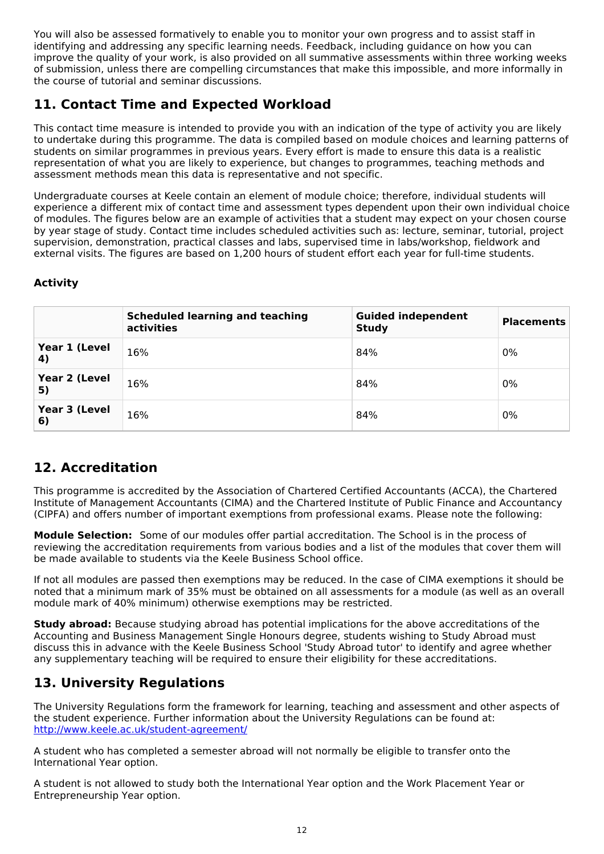You will also be assessed formatively to enable you to monitor your own progress and to assist staff in identifying and addressing any specific learning needs. Feedback, including guidance on how you can improve the quality of your work, is also provided on all summative assessments within three working weeks of submission, unless there are compelling circumstances that make this impossible, and more informally in the course of tutorial and seminar discussions.

## **11. Contact Time and Expected Workload**

This contact time measure is intended to provide you with an indication of the type of activity you are likely to undertake during this programme. The data is compiled based on module choices and learning patterns of students on similar programmes in previous years. Every effort is made to ensure this data is a realistic representation of what you are likely to experience, but changes to programmes, teaching methods and assessment methods mean this data is representative and not specific.

Undergraduate courses at Keele contain an element of module choice; therefore, individual students will experience a different mix of contact time and assessment types dependent upon their own individual choice of modules. The figures below are an example of activities that a student may expect on your chosen course by year stage of study. Contact time includes scheduled activities such as: lecture, seminar, tutorial, project supervision, demonstration, practical classes and labs, supervised time in labs/workshop, fieldwork and external visits. The figures are based on 1,200 hours of student effort each year for full-time students.

### **Activity**

|                     | <b>Scheduled learning and teaching</b><br>activities | <b>Guided independent</b><br><b>Study</b> | <b>Placements</b> |
|---------------------|------------------------------------------------------|-------------------------------------------|-------------------|
| Year 1 (Level<br>4) | 16%                                                  | 84%                                       | 0%                |
| Year 2 (Level<br>5) | 16%                                                  | 84%                                       | 0%                |
| Year 3 (Level<br>6) | 16%                                                  | 84%                                       | 0%                |

## **12. Accreditation**

This programme is accredited by the Association of Chartered Certified Accountants (ACCA), the Chartered Institute of Management Accountants (CIMA) and the Chartered Institute of Public Finance and Accountancy (CIPFA) and offers number of important exemptions from professional exams. Please note the following:

**Module Selection:** Some of our modules offer partial accreditation. The School is in the process of reviewing the accreditation requirements from various bodies and a list of the modules that cover them will be made available to students via the Keele Business School office.

If not all modules are passed then exemptions may be reduced. In the case of CIMA exemptions it should be noted that a minimum mark of 35% must be obtained on all assessments for a module (as well as an overall module mark of 40% minimum) otherwise exemptions may be restricted.

**Study abroad:** Because studying abroad has potential implications for the above accreditations of the Accounting and Business Management Single Honours degree, students wishing to Study Abroad must discuss this in advance with the Keele Business School 'Study Abroad tutor' to identify and agree whether any supplementary teaching will be required to ensure their eligibility for these accreditations.

## **13. University Regulations**

The University Regulations form the framework for learning, teaching and assessment and other aspects of the student experience. Further information about the University Regulations can be found at: <http://www.keele.ac.uk/student-agreement/>

A student who has completed a semester abroad will not normally be eligible to transfer onto the International Year option.

A student is not allowed to study both the International Year option and the Work Placement Year or Entrepreneurship Year option.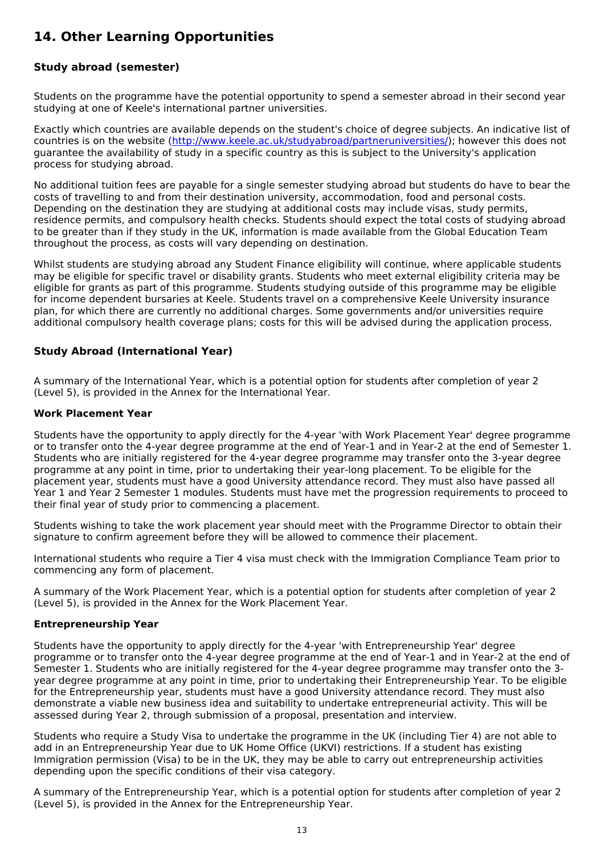## **14. Other Learning Opportunities**

### **Study abroad (semester)**

Students on the programme have the potential opportunity to spend a semester abroad in their second year studying at one of Keele's international partner universities.

Exactly which countries are available depends on the student's choice of degree subjects. An indicative list of countries is on the website (<http://www.keele.ac.uk/studyabroad/partneruniversities/>); however this does not guarantee the availability of study in a specific country as this is subject to the University's application process for studying abroad.

No additional tuition fees are payable for a single semester studying abroad but students do have to bear the costs of travelling to and from their destination university, accommodation, food and personal costs. Depending on the destination they are studying at additional costs may include visas, study permits, residence permits, and compulsory health checks. Students should expect the total costs of studying abroad to be greater than if they study in the UK, information is made available from the Global Education Team throughout the process, as costs will vary depending on destination.

Whilst students are studying abroad any Student Finance eligibility will continue, where applicable students may be eligible for specific travel or disability grants. Students who meet external eligibility criteria may be eligible for grants as part of this programme. Students studying outside of this programme may be eligible for income dependent bursaries at Keele. Students travel on a comprehensive Keele University insurance plan, for which there are currently no additional charges. Some governments and/or universities require additional compulsory health coverage plans; costs for this will be advised during the application process.

#### **Study Abroad (International Year)**

A summary of the International Year, which is a potential option for students after completion of year 2 (Level 5), is provided in the Annex for the International Year.

#### **Work Placement Year**

Students have the opportunity to apply directly for the 4-year 'with Work Placement Year' degree programme or to transfer onto the 4-year degree programme at the end of Year-1 and in Year-2 at the end of Semester 1. Students who are initially registered for the 4-year degree programme may transfer onto the 3-year degree programme at any point in time, prior to undertaking their year-long placement. To be eligible for the placement year, students must have a good University attendance record. They must also have passed all Year 1 and Year 2 Semester 1 modules. Students must have met the progression requirements to proceed to their final year of study prior to commencing a placement.

Students wishing to take the work placement year should meet with the Programme Director to obtain their signature to confirm agreement before they will be allowed to commence their placement.

International students who require a Tier 4 visa must check with the Immigration Compliance Team prior to commencing any form of placement.

A summary of the Work Placement Year, which is a potential option for students after completion of year 2 (Level 5), is provided in the Annex for the Work Placement Year.

#### **Entrepreneurship Year**

Students have the opportunity to apply directly for the 4-year 'with Entrepreneurship Year' degree programme or to transfer onto the 4-year degree programme at the end of Year-1 and in Year-2 at the end of Semester 1. Students who are initially registered for the 4-year degree programme may transfer onto the 3 year degree programme at any point in time, prior to undertaking their Entrepreneurship Year. To be eligible for the Entrepreneurship year, students must have a good University attendance record. They must also demonstrate a viable new business idea and suitability to undertake entrepreneurial activity. This will be assessed during Year 2, through submission of a proposal, presentation and interview.

Students who require a Study Visa to undertake the programme in the UK (including Tier 4) are not able to add in an Entrepreneurship Year due to UK Home Office (UKVI) restrictions. If a student has existing Immigration permission (Visa) to be in the UK, they may be able to carry out entrepreneurship activities depending upon the specific conditions of their visa category.

A summary of the Entrepreneurship Year, which is a potential option for students after completion of year 2 (Level 5), is provided in the Annex for the Entrepreneurship Year.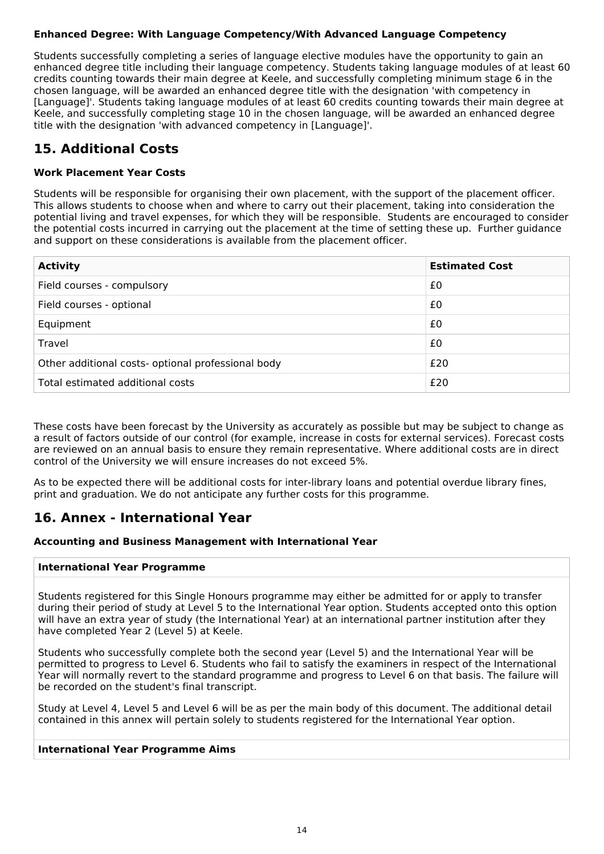### **Enhanced Degree: With Language Competency/With Advanced Language Competency**

Students successfully completing a series of language elective modules have the opportunity to gain an enhanced degree title including their language competency. Students taking language modules of at least 60 credits counting towards their main degree at Keele, and successfully completing minimum stage 6 in the chosen language, will be awarded an enhanced degree title with the designation 'with competency in [Language]'. Students taking language modules of at least 60 credits counting towards their main degree at Keele, and successfully completing stage 10 in the chosen language, will be awarded an enhanced degree title with the designation 'with advanced competency in [Language]'.

## **15. Additional Costs**

### **Work Placement Year Costs**

Students will be responsible for organising their own placement, with the support of the placement officer. This allows students to choose when and where to carry out their placement, taking into consideration the potential living and travel expenses, for which they will be responsible. Students are encouraged to consider the potential costs incurred in carrying out the placement at the time of setting these up. Further guidance and support on these considerations is available from the placement officer.

| <b>Activity</b>                                    | <b>Estimated Cost</b> |
|----------------------------------------------------|-----------------------|
| Field courses - compulsory                         | £0                    |
| Field courses - optional                           | £0                    |
| Equipment                                          | £0                    |
| Travel                                             | £0                    |
| Other additional costs- optional professional body | £20                   |
| Total estimated additional costs                   | £20                   |

These costs have been forecast by the University as accurately as possible but may be subject to change as a result of factors outside of our control (for example, increase in costs for external services). Forecast costs are reviewed on an annual basis to ensure they remain representative. Where additional costs are in direct control of the University we will ensure increases do not exceed 5%.

As to be expected there will be additional costs for inter-library loans and potential overdue library fines, print and graduation. We do not anticipate any further costs for this programme.

## **16. Annex - International Year**

### **Accounting and Business Management with International Year**

#### **International Year Programme**

Students registered for this Single Honours programme may either be admitted for or apply to transfer during their period of study at Level 5 to the International Year option. Students accepted onto this option will have an extra year of study (the International Year) at an international partner institution after they have completed Year 2 (Level 5) at Keele.

Students who successfully complete both the second year (Level 5) and the International Year will be permitted to progress to Level 6. Students who fail to satisfy the examiners in respect of the International Year will normally revert to the standard programme and progress to Level 6 on that basis. The failure will be recorded on the student's final transcript.

Study at Level 4, Level 5 and Level 6 will be as per the main body of this document. The additional detail contained in this annex will pertain solely to students registered for the International Year option.

#### **International Year Programme Aims**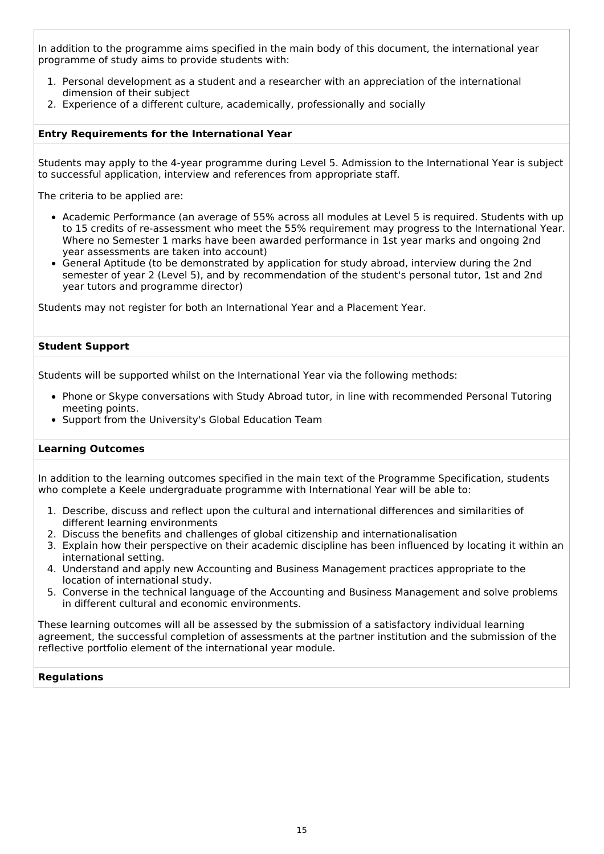In addition to the programme aims specified in the main body of this document, the international year programme of study aims to provide students with:

- 1. Personal development as a student and a researcher with an appreciation of the international dimension of their subject
- 2. Experience of a different culture, academically, professionally and socially

#### **Entry Requirements for the International Year**

Students may apply to the 4-year programme during Level 5. Admission to the International Year is subject to successful application, interview and references from appropriate staff.

The criteria to be applied are:

- Academic Performance (an average of 55% across all modules at Level 5 is required. Students with up to 15 credits of re-assessment who meet the 55% requirement may progress to the International Year. Where no Semester 1 marks have been awarded performance in 1st year marks and ongoing 2nd year assessments are taken into account)
- General Aptitude (to be demonstrated by application for study abroad, interview during the 2nd semester of year 2 (Level 5), and by recommendation of the student's personal tutor, 1st and 2nd year tutors and programme director)

Students may not register for both an International Year and a Placement Year.

#### **Student Support**

Students will be supported whilst on the International Year via the following methods:

- Phone or Skype conversations with Study Abroad tutor, in line with recommended Personal Tutoring meeting points.
- Support from the University's Global Education Team

#### **Learning Outcomes**

In addition to the learning outcomes specified in the main text of the Programme Specification, students who complete a Keele undergraduate programme with International Year will be able to:

- 1. Describe, discuss and reflect upon the cultural and international differences and similarities of different learning environments
- 2. Discuss the benefits and challenges of global citizenship and internationalisation
- 3. Explain how their perspective on their academic discipline has been influenced by locating it within an international setting.
- 4. Understand and apply new Accounting and Business Management practices appropriate to the location of international study.
- 5. Converse in the technical language of the Accounting and Business Management and solve problems in different cultural and economic environments.

These learning outcomes will all be assessed by the submission of a satisfactory individual learning agreement, the successful completion of assessments at the partner institution and the submission of the reflective portfolio element of the international year module.

#### **Regulations**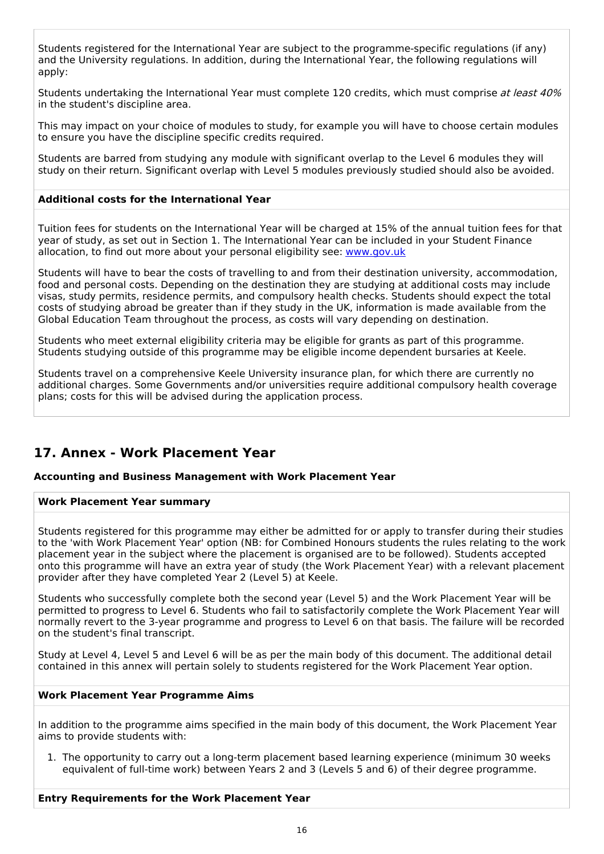Students registered for the International Year are subject to the programme-specific regulations (if any) and the University regulations. In addition, during the International Year, the following regulations will apply:

Students undertaking the International Year must complete 120 credits, which must comprise at least 40% in the student's discipline area.

This may impact on your choice of modules to study, for example you will have to choose certain modules to ensure you have the discipline specific credits required.

Students are barred from studying any module with significant overlap to the Level 6 modules they will study on their return. Significant overlap with Level 5 modules previously studied should also be avoided.

#### **Additional costs for the International Year**

Tuition fees for students on the International Year will be charged at 15% of the annual tuition fees for that year of study, as set out in Section 1. The International Year can be included in your Student Finance allocation, to find out more about your personal eligibility see: [www.gov.uk](http://www.gov.uk/)

Students will have to bear the costs of travelling to and from their destination university, accommodation, food and personal costs. Depending on the destination they are studying at additional costs may include visas, study permits, residence permits, and compulsory health checks. Students should expect the total costs of studying abroad be greater than if they study in the UK, information is made available from the Global Education Team throughout the process, as costs will vary depending on destination.

Students who meet external eligibility criteria may be eligible for grants as part of this programme. Students studying outside of this programme may be eligible income dependent bursaries at Keele.

Students travel on a comprehensive Keele University insurance plan, for which there are currently no additional charges. Some Governments and/or universities require additional compulsory health coverage plans; costs for this will be advised during the application process.

## **17. Annex - Work Placement Year**

#### **Accounting and Business Management with Work Placement Year**

#### **Work Placement Year summary**

Students registered for this programme may either be admitted for or apply to transfer during their studies to the 'with Work Placement Year' option (NB: for Combined Honours students the rules relating to the work placement year in the subject where the placement is organised are to be followed). Students accepted onto this programme will have an extra year of study (the Work Placement Year) with a relevant placement provider after they have completed Year 2 (Level 5) at Keele.

Students who successfully complete both the second year (Level 5) and the Work Placement Year will be permitted to progress to Level 6. Students who fail to satisfactorily complete the Work Placement Year will normally revert to the 3-year programme and progress to Level 6 on that basis. The failure will be recorded on the student's final transcript.

Study at Level 4, Level 5 and Level 6 will be as per the main body of this document. The additional detail contained in this annex will pertain solely to students registered for the Work Placement Year option.

#### **Work Placement Year Programme Aims**

In addition to the programme aims specified in the main body of this document, the Work Placement Year aims to provide students with:

1. The opportunity to carry out a long-term placement based learning experience (minimum 30 weeks equivalent of full-time work) between Years 2 and 3 (Levels 5 and 6) of their degree programme.

**Entry Requirements for the Work Placement Year**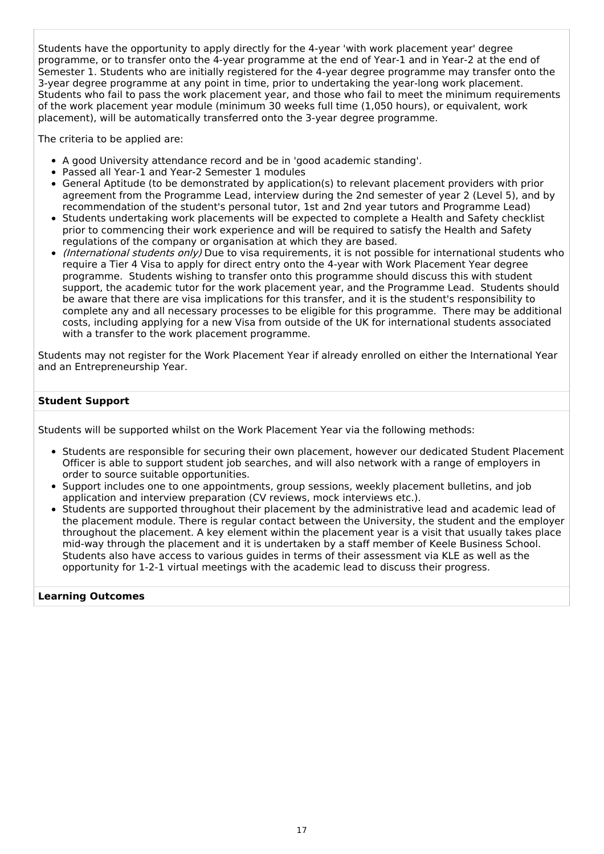Students have the opportunity to apply directly for the 4-year 'with work placement year' degree programme, or to transfer onto the 4-year programme at the end of Year-1 and in Year-2 at the end of Semester 1. Students who are initially registered for the 4-year degree programme may transfer onto the 3-year degree programme at any point in time, prior to undertaking the year-long work placement. Students who fail to pass the work placement year, and those who fail to meet the minimum requirements of the work placement year module (minimum 30 weeks full time (1,050 hours), or equivalent, work placement), will be automatically transferred onto the 3-year degree programme.

The criteria to be applied are:

- A good University attendance record and be in 'good academic standing'.
- Passed all Year-1 and Year-2 Semester 1 modules
- General Aptitude (to be demonstrated by application(s) to relevant placement providers with prior agreement from the Programme Lead, interview during the 2nd semester of year 2 (Level 5), and by recommendation of the student's personal tutor, 1st and 2nd year tutors and Programme Lead)
- Students undertaking work placements will be expected to complete a Health and Safety checklist prior to commencing their work experience and will be required to satisfy the Health and Safety regulations of the company or organisation at which they are based.
- *(International students only)* Due to visa requirements, it is not possible for international students who require a Tier 4 Visa to apply for direct entry onto the 4-year with Work Placement Year degree programme. Students wishing to transfer onto this programme should discuss this with student support, the academic tutor for the work placement year, and the Programme Lead. Students should be aware that there are visa implications for this transfer, and it is the student's responsibility to complete any and all necessary processes to be eligible for this programme. There may be additional costs, including applying for a new Visa from outside of the UK for international students associated with a transfer to the work placement programme.

Students may not register for the Work Placement Year if already enrolled on either the International Year and an Entrepreneurship Year.

#### **Student Support**

Students will be supported whilst on the Work Placement Year via the following methods:

- Students are responsible for securing their own placement, however our dedicated Student Placement Officer is able to support student job searches, and will also network with a range of employers in order to source suitable opportunities.
- Support includes one to one appointments, group sessions, weekly placement bulletins, and job application and interview preparation (CV reviews, mock interviews etc.).
- Students are supported throughout their placement by the administrative lead and academic lead of the placement module. There is regular contact between the University, the student and the employer throughout the placement. A key element within the placement year is a visit that usually takes place mid-way through the placement and it is undertaken by a staff member of Keele Business School. Students also have access to various guides in terms of their assessment via KLE as well as the opportunity for 1-2-1 virtual meetings with the academic lead to discuss their progress.

#### **Learning Outcomes**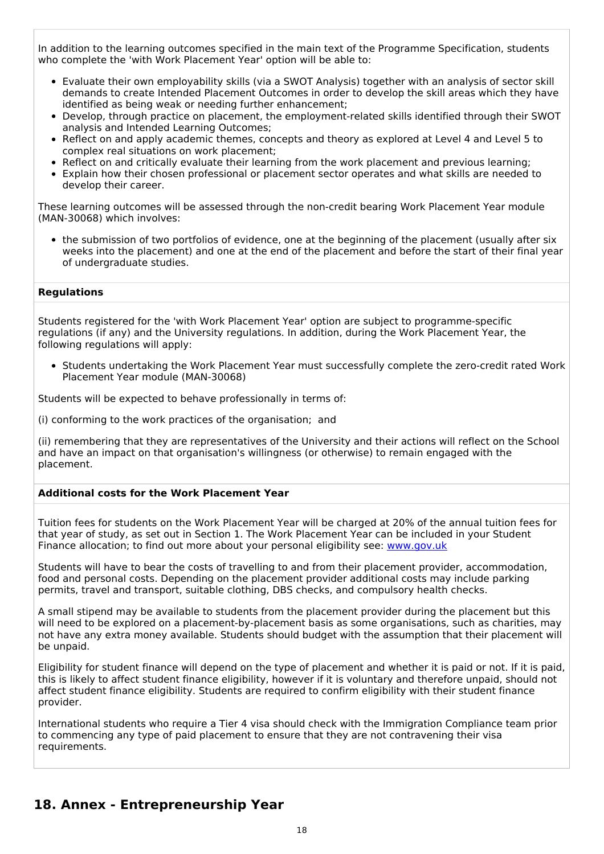In addition to the learning outcomes specified in the main text of the Programme Specification, students who complete the 'with Work Placement Year' option will be able to:

- Evaluate their own employability skills (via a SWOT Analysis) together with an analysis of sector skill demands to create Intended Placement Outcomes in order to develop the skill areas which they have identified as being weak or needing further enhancement;
- Develop, through practice on placement, the employment-related skills identified through their SWOT analysis and Intended Learning Outcomes;
- Reflect on and apply academic themes, concepts and theory as explored at Level 4 and Level 5 to complex real situations on work placement;
- Reflect on and critically evaluate their learning from the work placement and previous learning;
- Explain how their chosen professional or placement sector operates and what skills are needed to develop their career.

These learning outcomes will be assessed through the non-credit bearing Work Placement Year module (MAN-30068) which involves:

the submission of two portfolios of evidence, one at the beginning of the placement (usually after six weeks into the placement) and one at the end of the placement and before the start of their final year of undergraduate studies.

#### **Regulations**

Students registered for the 'with Work Placement Year' option are subject to programme-specific regulations (if any) and the University regulations. In addition, during the Work Placement Year, the following regulations will apply:

• Students undertaking the Work Placement Year must successfully complete the zero-credit rated Work Placement Year module (MAN-30068)

Students will be expected to behave professionally in terms of:

(i) conforming to the work practices of the organisation; and

(ii) remembering that they are representatives of the University and their actions will reflect on the School and have an impact on that organisation's willingness (or otherwise) to remain engaged with the placement.

#### **Additional costs for the Work Placement Year**

Tuition fees for students on the Work Placement Year will be charged at 20% of the annual tuition fees for that year of study, as set out in Section 1. The Work Placement Year can be included in your Student Finance allocation; to find out more about your personal eligibility see: [www.gov.uk](http://www.gov.uk/)

Students will have to bear the costs of travelling to and from their placement provider, accommodation, food and personal costs. Depending on the placement provider additional costs may include parking permits, travel and transport, suitable clothing, DBS checks, and compulsory health checks.

A small stipend may be available to students from the placement provider during the placement but this will need to be explored on a placement-by-placement basis as some organisations, such as charities, may not have any extra money available. Students should budget with the assumption that their placement will be unpaid.

Eligibility for student finance will depend on the type of placement and whether it is paid or not. If it is paid, this is likely to affect student finance eligibility, however if it is voluntary and therefore unpaid, should not affect student finance eligibility. Students are required to confirm eligibility with their student finance provider.

International students who require a Tier 4 visa should check with the Immigration Compliance team prior to commencing any type of paid placement to ensure that they are not contravening their visa requirements.

## **18. Annex - Entrepreneurship Year**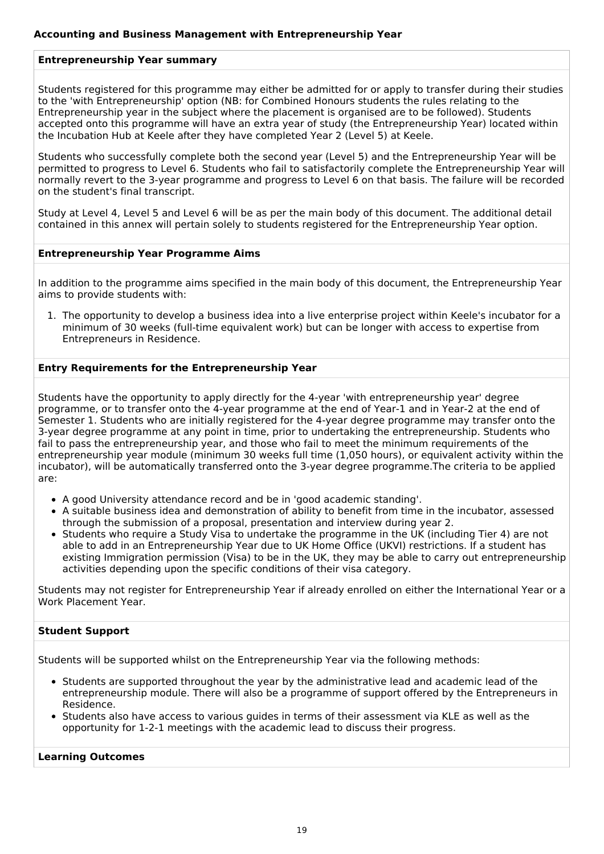### **Entrepreneurship Year summary**

Students registered for this programme may either be admitted for or apply to transfer during their studies to the 'with Entrepreneurship' option (NB: for Combined Honours students the rules relating to the Entrepreneurship year in the subject where the placement is organised are to be followed). Students accepted onto this programme will have an extra year of study (the Entrepreneurship Year) located within the Incubation Hub at Keele after they have completed Year 2 (Level 5) at Keele.

Students who successfully complete both the second year (Level 5) and the Entrepreneurship Year will be permitted to progress to Level 6. Students who fail to satisfactorily complete the Entrepreneurship Year will normally revert to the 3-year programme and progress to Level 6 on that basis. The failure will be recorded on the student's final transcript.

Study at Level 4, Level 5 and Level 6 will be as per the main body of this document. The additional detail contained in this annex will pertain solely to students registered for the Entrepreneurship Year option.

#### **Entrepreneurship Year Programme Aims**

In addition to the programme aims specified in the main body of this document, the Entrepreneurship Year aims to provide students with:

1. The opportunity to develop a business idea into a live enterprise project within Keele's incubator for a minimum of 30 weeks (full-time equivalent work) but can be longer with access to expertise from Entrepreneurs in Residence.

#### **Entry Requirements for the Entrepreneurship Year**

Students have the opportunity to apply directly for the 4-year 'with entrepreneurship year' degree programme, or to transfer onto the 4-year programme at the end of Year-1 and in Year-2 at the end of Semester 1. Students who are initially registered for the 4-year degree programme may transfer onto the 3-year degree programme at any point in time, prior to undertaking the entrepreneurship. Students who fail to pass the entrepreneurship year, and those who fail to meet the minimum requirements of the entrepreneurship year module (minimum 30 weeks full time (1,050 hours), or equivalent activity within the incubator), will be automatically transferred onto the 3-year degree programme.The criteria to be applied are:

- A good University attendance record and be in 'good academic standing'.
- A suitable business idea and demonstration of ability to benefit from time in the incubator, assessed through the submission of a proposal, presentation and interview during year 2.
- Students who require a Study Visa to undertake the programme in the UK (including Tier 4) are not able to add in an Entrepreneurship Year due to UK Home Office (UKVI) restrictions. If a student has existing Immigration permission (Visa) to be in the UK, they may be able to carry out entrepreneurship activities depending upon the specific conditions of their visa category.

Students may not register for Entrepreneurship Year if already enrolled on either the International Year or a Work Placement Year.

#### **Student Support**

Students will be supported whilst on the Entrepreneurship Year via the following methods:

- Students are supported throughout the year by the administrative lead and academic lead of the entrepreneurship module. There will also be a programme of support offered by the Entrepreneurs in Residence.
- Students also have access to various quides in terms of their assessment via KLE as well as the opportunity for 1-2-1 meetings with the academic lead to discuss their progress.

#### **Learning Outcomes**